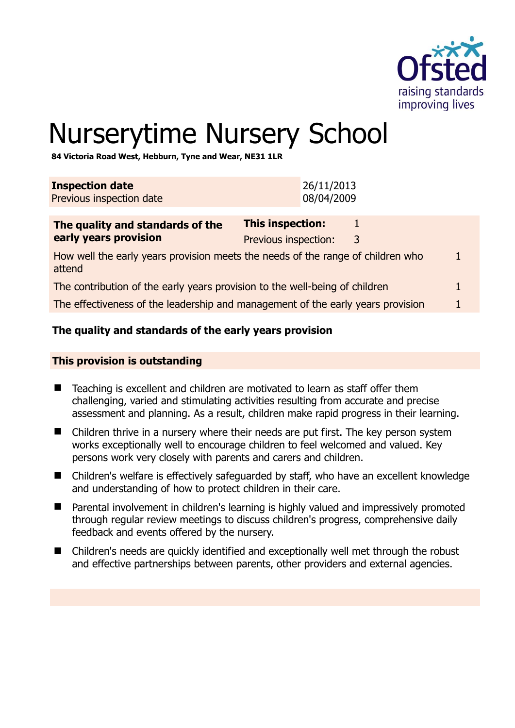

# Nurserytime Nursery School

**84 Victoria Road West, Hebburn, Tyne and Wear, NE31 1LR** 

| 26/11/2013<br>08/04/2009                                                                  |  |  |  |
|-------------------------------------------------------------------------------------------|--|--|--|
| This inspection:<br>1<br>Previous inspection:<br>3                                        |  |  |  |
| How well the early years provision meets the needs of the range of children who<br>attend |  |  |  |
| The contribution of the early years provision to the well-being of children               |  |  |  |
| The effectiveness of the leadership and management of the early years provision           |  |  |  |
|                                                                                           |  |  |  |

# **The quality and standards of the early years provision**

#### **This provision is outstanding**

- Teaching is excellent and children are motivated to learn as staff offer them challenging, varied and stimulating activities resulting from accurate and precise assessment and planning. As a result, children make rapid progress in their learning.
- Children thrive in a nursery where their needs are put first. The key person system works exceptionally well to encourage children to feel welcomed and valued. Key persons work very closely with parents and carers and children.
- Children's welfare is effectively safeguarded by staff, who have an excellent knowledge and understanding of how to protect children in their care.
- Parental involvement in children's learning is highly valued and impressively promoted through regular review meetings to discuss children's progress, comprehensive daily feedback and events offered by the nursery.
- Children's needs are quickly identified and exceptionally well met through the robust and effective partnerships between parents, other providers and external agencies.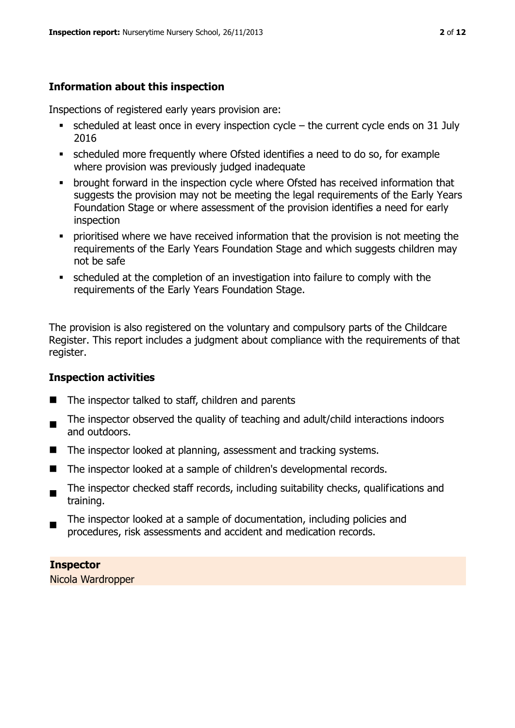# **Information about this inspection**

Inspections of registered early years provision are:

- scheduled at least once in every inspection cycle the current cycle ends on 31 July 2016
- scheduled more frequently where Ofsted identifies a need to do so, for example where provision was previously judged inadequate
- **•** brought forward in the inspection cycle where Ofsted has received information that suggests the provision may not be meeting the legal requirements of the Early Years Foundation Stage or where assessment of the provision identifies a need for early inspection
- **•** prioritised where we have received information that the provision is not meeting the requirements of the Early Years Foundation Stage and which suggests children may not be safe
- scheduled at the completion of an investigation into failure to comply with the requirements of the Early Years Foundation Stage.

The provision is also registered on the voluntary and compulsory parts of the Childcare Register. This report includes a judgment about compliance with the requirements of that register.

# **Inspection activities**

- $\blacksquare$  The inspector talked to staff, children and parents
- . The inspector observed the quality of teaching and adult/child interactions indoors and outdoors.
- The inspector looked at planning, assessment and tracking systems.
- The inspector looked at a sample of children's developmental records.
- $\blacksquare$ The inspector checked staff records, including suitability checks, qualifications and training.
- The inspector looked at a sample of documentation, including policies and procedures, risk assessments and accident and medication records.

**Inspector**  Nicola Wardropper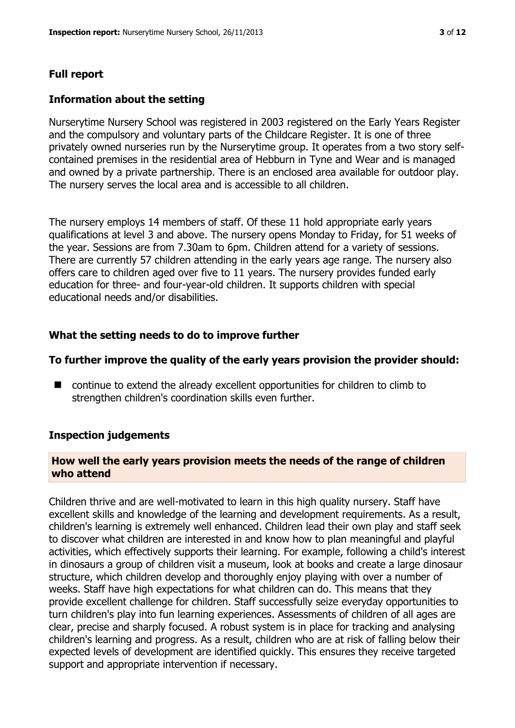# **Full report**

#### **Information about the setting**

Nurserytime Nursery School was registered in 2003 registered on the Early Years Register and the compulsory and voluntary parts of the Childcare Register. It is one of three privately owned nurseries run by the Nurserytime group. It operates from a two story selfcontained premises in the residential area of Hebburn in Tyne and Wear and is managed and owned by a private partnership. There is an enclosed area available for outdoor play. The nursery serves the local area and is accessible to all children.

The nursery employs 14 members of staff. Of these 11 hold appropriate early years qualifications at level 3 and above. The nursery opens Monday to Friday, for 51 weeks of the year. Sessions are from 7.30am to 6pm. Children attend for a variety of sessions. There are currently 57 children attending in the early years age range. The nursery also offers care to children aged over five to 11 years. The nursery provides funded early education for three- and four-year-old children. It supports children with special educational needs and/or disabilities.

#### **What the setting needs to do to improve further**

#### **To further improve the quality of the early years provision the provider should:**

■ continue to extend the already excellent opportunities for children to climb to strengthen children's coordination skills even further.

#### **Inspection judgements**

#### **How well the early years provision meets the needs of the range of children who attend**

Children thrive and are well-motivated to learn in this high quality nursery. Staff have excellent skills and knowledge of the learning and development requirements. As a result, children's learning is extremely well enhanced. Children lead their own play and staff seek to discover what children are interested in and know how to plan meaningful and playful activities, which effectively supports their learning. For example, following a child's interest in dinosaurs a group of children visit a museum, look at books and create a large dinosaur structure, which children develop and thoroughly enjoy playing with over a number of weeks. Staff have high expectations for what children can do. This means that they provide excellent challenge for children. Staff successfully seize everyday opportunities to turn children's play into fun learning experiences. Assessments of children of all ages are clear, precise and sharply focused. A robust system is in place for tracking and analysing children's learning and progress. As a result, children who are at risk of falling below their expected levels of development are identified quickly. This ensures they receive targeted support and appropriate intervention if necessary.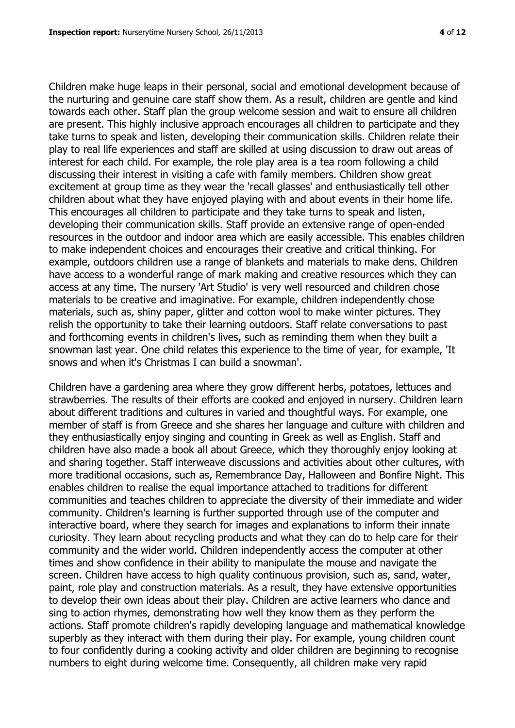Children make huge leaps in their personal, social and emotional development because of the nurturing and genuine care staff show them. As a result, children are gentle and kind towards each other. Staff plan the group welcome session and wait to ensure all children are present. This highly inclusive approach encourages all children to participate and they take turns to speak and listen, developing their communication skills. Children relate their play to real life experiences and staff are skilled at using discussion to draw out areas of interest for each child. For example, the role play area is a tea room following a child discussing their interest in visiting a cafe with family members. Children show great excitement at group time as they wear the 'recall glasses' and enthusiastically tell other children about what they have enjoyed playing with and about events in their home life. This encourages all children to participate and they take turns to speak and listen, developing their communication skills. Staff provide an extensive range of open-ended resources in the outdoor and indoor area which are easily accessible. This enables children to make independent choices and encourages their creative and critical thinking. For example, outdoors children use a range of blankets and materials to make dens. Children have access to a wonderful range of mark making and creative resources which they can access at any time. The nursery 'Art Studio' is very well resourced and children chose materials to be creative and imaginative. For example, children independently chose materials, such as, shiny paper, glitter and cotton wool to make winter pictures. They relish the opportunity to take their learning outdoors. Staff relate conversations to past and forthcoming events in children's lives, such as reminding them when they built a snowman last year. One child relates this experience to the time of year, for example, 'It snows and when it's Christmas I can build a snowman'.

Children have a gardening area where they grow different herbs, potatoes, lettuces and strawberries. The results of their efforts are cooked and enjoyed in nursery. Children learn about different traditions and cultures in varied and thoughtful ways. For example, one member of staff is from Greece and she shares her language and culture with children and they enthusiastically enjoy singing and counting in Greek as well as English. Staff and children have also made a book all about Greece, which they thoroughly enjoy looking at and sharing together. Staff interweave discussions and activities about other cultures, with more traditional occasions, such as, Remembrance Day, Halloween and Bonfire Night. This enables children to realise the equal importance attached to traditions for different communities and teaches children to appreciate the diversity of their immediate and wider community. Children's learning is further supported through use of the computer and interactive board, where they search for images and explanations to inform their innate curiosity. They learn about recycling products and what they can do to help care for their community and the wider world. Children independently access the computer at other times and show confidence in their ability to manipulate the mouse and navigate the screen. Children have access to high quality continuous provision, such as, sand, water, paint, role play and construction materials. As a result, they have extensive opportunities to develop their own ideas about their play. Children are active learners who dance and sing to action rhymes, demonstrating how well they know them as they perform the actions. Staff promote children's rapidly developing language and mathematical knowledge superbly as they interact with them during their play. For example, young children count to four confidently during a cooking activity and older children are beginning to recognise numbers to eight during welcome time. Consequently, all children make very rapid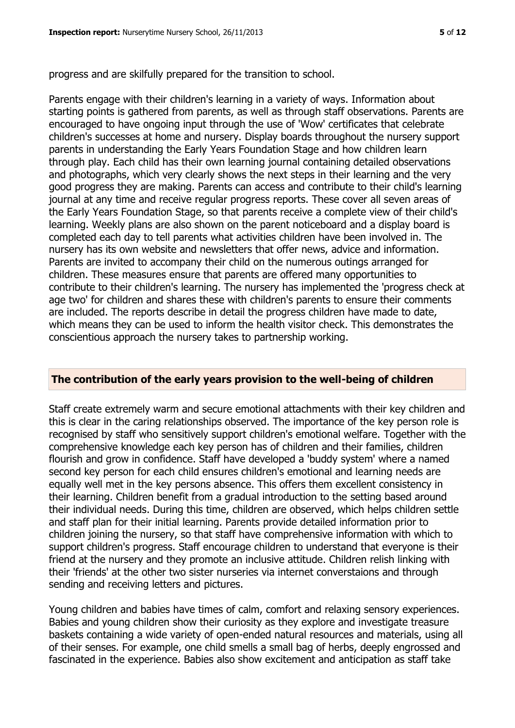progress and are skilfully prepared for the transition to school.

Parents engage with their children's learning in a variety of ways. Information about starting points is gathered from parents, as well as through staff observations. Parents are encouraged to have ongoing input through the use of 'Wow' certificates that celebrate children's successes at home and nursery. Display boards throughout the nursery support parents in understanding the Early Years Foundation Stage and how children learn through play. Each child has their own learning journal containing detailed observations and photographs, which very clearly shows the next steps in their learning and the very good progress they are making. Parents can access and contribute to their child's learning journal at any time and receive regular progress reports. These cover all seven areas of the Early Years Foundation Stage, so that parents receive a complete view of their child's learning. Weekly plans are also shown on the parent noticeboard and a display board is completed each day to tell parents what activities children have been involved in. The nursery has its own website and newsletters that offer news, advice and information. Parents are invited to accompany their child on the numerous outings arranged for children. These measures ensure that parents are offered many opportunities to contribute to their children's learning. The nursery has implemented the 'progress check at age two' for children and shares these with children's parents to ensure their comments are included. The reports describe in detail the progress children have made to date, which means they can be used to inform the health visitor check. This demonstrates the conscientious approach the nursery takes to partnership working.

#### **The contribution of the early years provision to the well-being of children**

Staff create extremely warm and secure emotional attachments with their key children and this is clear in the caring relationships observed. The importance of the key person role is recognised by staff who sensitively support children's emotional welfare. Together with the comprehensive knowledge each key person has of children and their families, children flourish and grow in confidence. Staff have developed a 'buddy system' where a named second key person for each child ensures children's emotional and learning needs are equally well met in the key persons absence. This offers them excellent consistency in their learning. Children benefit from a gradual introduction to the setting based around their individual needs. During this time, children are observed, which helps children settle and staff plan for their initial learning. Parents provide detailed information prior to children joining the nursery, so that staff have comprehensive information with which to support children's progress. Staff encourage children to understand that everyone is their friend at the nursery and they promote an inclusive attitude. Children relish linking with their 'friends' at the other two sister nurseries via internet converstaions and through sending and receiving letters and pictures.

Young children and babies have times of calm, comfort and relaxing sensory experiences. Babies and young children show their curiosity as they explore and investigate treasure baskets containing a wide variety of open-ended natural resources and materials, using all of their senses. For example, one child smells a small bag of herbs, deeply engrossed and fascinated in the experience. Babies also show excitement and anticipation as staff take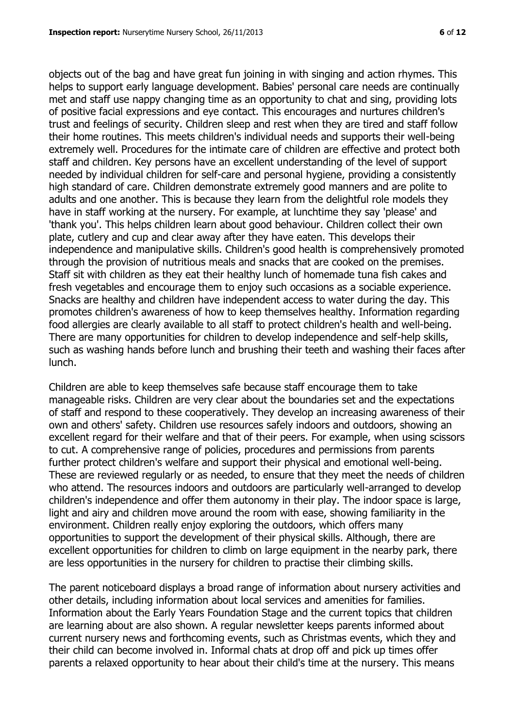objects out of the bag and have great fun joining in with singing and action rhymes. This helps to support early language development. Babies' personal care needs are continually met and staff use nappy changing time as an opportunity to chat and sing, providing lots of positive facial expressions and eye contact. This encourages and nurtures children's trust and feelings of security. Children sleep and rest when they are tired and staff follow their home routines. This meets children's individual needs and supports their well-being extremely well. Procedures for the intimate care of children are effective and protect both staff and children. Key persons have an excellent understanding of the level of support needed by individual children for self-care and personal hygiene, providing a consistently high standard of care. Children demonstrate extremely good manners and are polite to adults and one another. This is because they learn from the delightful role models they have in staff working at the nursery. For example, at lunchtime they say 'please' and 'thank you'. This helps children learn about good behaviour. Children collect their own plate, cutlery and cup and clear away after they have eaten. This develops their independence and manipulative skills. Children's good health is comprehensively promoted through the provision of nutritious meals and snacks that are cooked on the premises. Staff sit with children as they eat their healthy lunch of homemade tuna fish cakes and fresh vegetables and encourage them to enjoy such occasions as a sociable experience. Snacks are healthy and children have independent access to water during the day. This promotes children's awareness of how to keep themselves healthy. Information regarding food allergies are clearly available to all staff to protect children's health and well-being. There are many opportunities for children to develop independence and self-help skills, such as washing hands before lunch and brushing their teeth and washing their faces after lunch.

Children are able to keep themselves safe because staff encourage them to take manageable risks. Children are very clear about the boundaries set and the expectations of staff and respond to these cooperatively. They develop an increasing awareness of their own and others' safety. Children use resources safely indoors and outdoors, showing an excellent regard for their welfare and that of their peers. For example, when using scissors to cut. A comprehensive range of policies, procedures and permissions from parents further protect children's welfare and support their physical and emotional well-being. These are reviewed regularly or as needed, to ensure that they meet the needs of children who attend. The resources indoors and outdoors are particularly well-arranged to develop children's independence and offer them autonomy in their play. The indoor space is large, light and airy and children move around the room with ease, showing familiarity in the environment. Children really enjoy exploring the outdoors, which offers many opportunities to support the development of their physical skills. Although, there are excellent opportunities for children to climb on large equipment in the nearby park, there are less opportunities in the nursery for children to practise their climbing skills.

The parent noticeboard displays a broad range of information about nursery activities and other details, including information about local services and amenities for families. Information about the Early Years Foundation Stage and the current topics that children are learning about are also shown. A regular newsletter keeps parents informed about current nursery news and forthcoming events, such as Christmas events, which they and their child can become involved in. Informal chats at drop off and pick up times offer parents a relaxed opportunity to hear about their child's time at the nursery. This means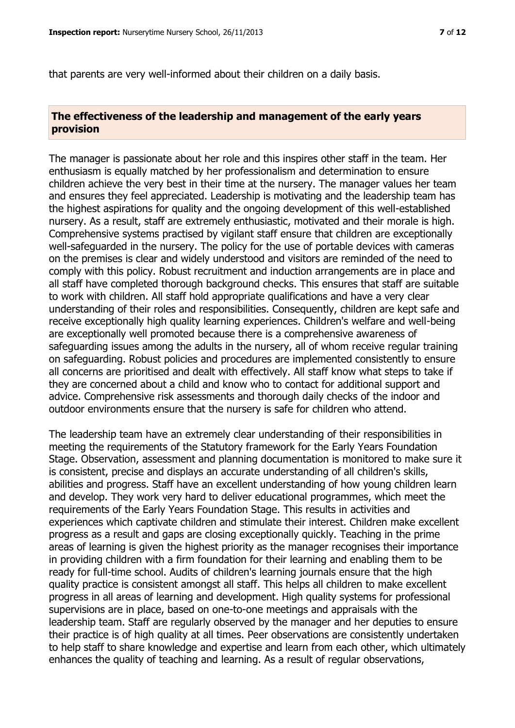that parents are very well-informed about their children on a daily basis.

#### **The effectiveness of the leadership and management of the early years provision**

The manager is passionate about her role and this inspires other staff in the team. Her enthusiasm is equally matched by her professionalism and determination to ensure children achieve the very best in their time at the nursery. The manager values her team and ensures they feel appreciated. Leadership is motivating and the leadership team has the highest aspirations for quality and the ongoing development of this well-established nursery. As a result, staff are extremely enthusiastic, motivated and their morale is high. Comprehensive systems practised by vigilant staff ensure that children are exceptionally well-safeguarded in the nursery. The policy for the use of portable devices with cameras on the premises is clear and widely understood and visitors are reminded of the need to comply with this policy. Robust recruitment and induction arrangements are in place and all staff have completed thorough background checks. This ensures that staff are suitable to work with children. All staff hold appropriate qualifications and have a very clear understanding of their roles and responsibilities. Consequently, children are kept safe and receive exceptionally high quality learning experiences. Children's welfare and well-being are exceptionally well promoted because there is a comprehensive awareness of safeguarding issues among the adults in the nursery, all of whom receive regular training on safeguarding. Robust policies and procedures are implemented consistently to ensure all concerns are prioritised and dealt with effectively. All staff know what steps to take if they are concerned about a child and know who to contact for additional support and advice. Comprehensive risk assessments and thorough daily checks of the indoor and outdoor environments ensure that the nursery is safe for children who attend.

The leadership team have an extremely clear understanding of their responsibilities in meeting the requirements of the Statutory framework for the Early Years Foundation Stage. Observation, assessment and planning documentation is monitored to make sure it is consistent, precise and displays an accurate understanding of all children's skills, abilities and progress. Staff have an excellent understanding of how young children learn and develop. They work very hard to deliver educational programmes, which meet the requirements of the Early Years Foundation Stage. This results in activities and experiences which captivate children and stimulate their interest. Children make excellent progress as a result and gaps are closing exceptionally quickly. Teaching in the prime areas of learning is given the highest priority as the manager recognises their importance in providing children with a firm foundation for their learning and enabling them to be ready for full-time school. Audits of children's learning journals ensure that the high quality practice is consistent amongst all staff. This helps all children to make excellent progress in all areas of learning and development. High quality systems for professional supervisions are in place, based on one-to-one meetings and appraisals with the leadership team. Staff are regularly observed by the manager and her deputies to ensure their practice is of high quality at all times. Peer observations are consistently undertaken to help staff to share knowledge and expertise and learn from each other, which ultimately enhances the quality of teaching and learning. As a result of regular observations,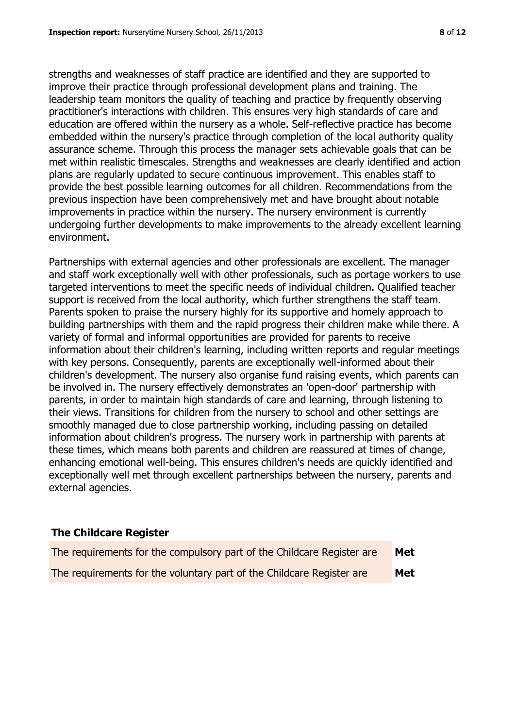strengths and weaknesses of staff practice are identified and they are supported to improve their practice through professional development plans and training. The leadership team monitors the quality of teaching and practice by frequently observing practitioner's interactions with children. This ensures very high standards of care and education are offered within the nursery as a whole. Self-reflective practice has become embedded within the nursery's practice through completion of the local authority quality assurance scheme. Through this process the manager sets achievable goals that can be met within realistic timescales. Strengths and weaknesses are clearly identified and action plans are regularly updated to secure continuous improvement. This enables staff to provide the best possible learning outcomes for all children. Recommendations from the previous inspection have been comprehensively met and have brought about notable improvements in practice within the nursery. The nursery environment is currently undergoing further developments to make improvements to the already excellent learning

Partnerships with external agencies and other professionals are excellent. The manager and staff work exceptionally well with other professionals, such as portage workers to use targeted interventions to meet the specific needs of individual children. Qualified teacher support is received from the local authority, which further strengthens the staff team. Parents spoken to praise the nursery highly for its supportive and homely approach to building partnerships with them and the rapid progress their children make while there. A variety of formal and informal opportunities are provided for parents to receive information about their children's learning, including written reports and regular meetings with key persons. Consequently, parents are exceptionally well-informed about their children's development. The nursery also organise fund raising events, which parents can be involved in. The nursery effectively demonstrates an 'open-door' partnership with parents, in order to maintain high standards of care and learning, through listening to their views. Transitions for children from the nursery to school and other settings are smoothly managed due to close partnership working, including passing on detailed information about children's progress. The nursery work in partnership with parents at these times, which means both parents and children are reassured at times of change, enhancing emotional well-being. This ensures children's needs are quickly identified and exceptionally well met through excellent partnerships between the nursery, parents and external agencies.

# **The Childcare Register**

environment.

| The requirements for the compulsory part of the Childcare Register are | Met |
|------------------------------------------------------------------------|-----|
| The requirements for the voluntary part of the Childcare Register are  | Met |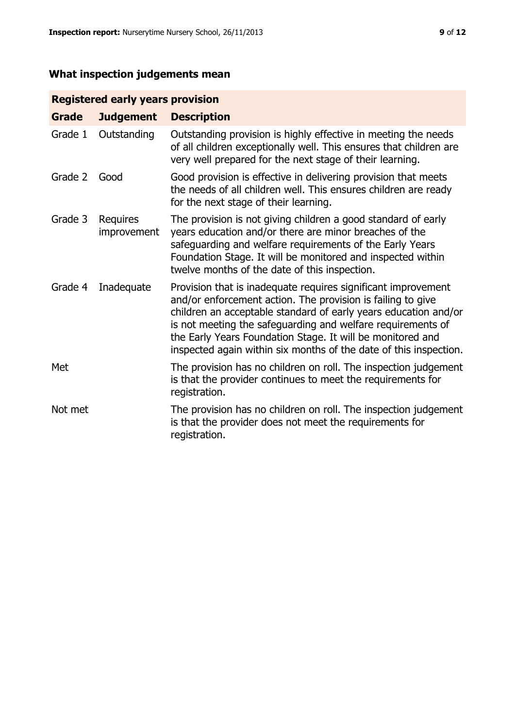# **What inspection judgements mean**

# **Registered early years provision**

| <b>Grade</b> | <b>Judgement</b>        | <b>Description</b>                                                                                                                                                                                                                                                                                                                                                                                |
|--------------|-------------------------|---------------------------------------------------------------------------------------------------------------------------------------------------------------------------------------------------------------------------------------------------------------------------------------------------------------------------------------------------------------------------------------------------|
| Grade 1      | Outstanding             | Outstanding provision is highly effective in meeting the needs<br>of all children exceptionally well. This ensures that children are<br>very well prepared for the next stage of their learning.                                                                                                                                                                                                  |
| Grade 2      | Good                    | Good provision is effective in delivering provision that meets<br>the needs of all children well. This ensures children are ready<br>for the next stage of their learning.                                                                                                                                                                                                                        |
| Grade 3      | Requires<br>improvement | The provision is not giving children a good standard of early<br>years education and/or there are minor breaches of the<br>safeguarding and welfare requirements of the Early Years<br>Foundation Stage. It will be monitored and inspected within<br>twelve months of the date of this inspection.                                                                                               |
| Grade 4      | Inadequate              | Provision that is inadequate requires significant improvement<br>and/or enforcement action. The provision is failing to give<br>children an acceptable standard of early years education and/or<br>is not meeting the safeguarding and welfare requirements of<br>the Early Years Foundation Stage. It will be monitored and<br>inspected again within six months of the date of this inspection. |
| Met          |                         | The provision has no children on roll. The inspection judgement<br>is that the provider continues to meet the requirements for<br>registration.                                                                                                                                                                                                                                                   |
| Not met      |                         | The provision has no children on roll. The inspection judgement<br>is that the provider does not meet the requirements for<br>registration.                                                                                                                                                                                                                                                       |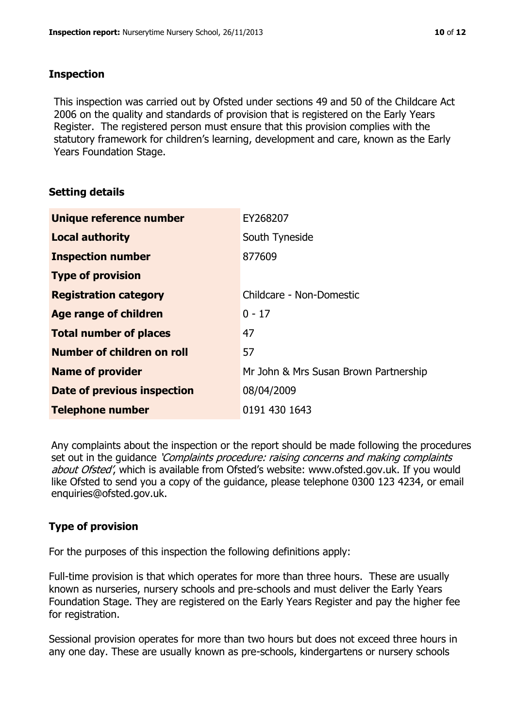#### **Inspection**

This inspection was carried out by Ofsted under sections 49 and 50 of the Childcare Act 2006 on the quality and standards of provision that is registered on the Early Years Register. The registered person must ensure that this provision complies with the statutory framework for children's learning, development and care, known as the Early Years Foundation Stage.

# **Setting details**

| Unique reference number            | EY268207                              |
|------------------------------------|---------------------------------------|
| <b>Local authority</b>             | South Tyneside                        |
| <b>Inspection number</b>           | 877609                                |
| <b>Type of provision</b>           |                                       |
| <b>Registration category</b>       | Childcare - Non-Domestic              |
| <b>Age range of children</b>       | $0 - 17$                              |
| <b>Total number of places</b>      | 47                                    |
| Number of children on roll         | 57                                    |
| <b>Name of provider</b>            | Mr John & Mrs Susan Brown Partnership |
| <b>Date of previous inspection</b> | 08/04/2009                            |
| <b>Telephone number</b>            | 0191 430 1643                         |

Any complaints about the inspection or the report should be made following the procedures set out in the guidance *'Complaints procedure: raising concerns and making complaints* about Ofsted', which is available from Ofsted's website: www.ofsted.gov.uk. If you would like Ofsted to send you a copy of the guidance, please telephone 0300 123 4234, or email enquiries@ofsted.gov.uk.

# **Type of provision**

For the purposes of this inspection the following definitions apply:

Full-time provision is that which operates for more than three hours. These are usually known as nurseries, nursery schools and pre-schools and must deliver the Early Years Foundation Stage. They are registered on the Early Years Register and pay the higher fee for registration.

Sessional provision operates for more than two hours but does not exceed three hours in any one day. These are usually known as pre-schools, kindergartens or nursery schools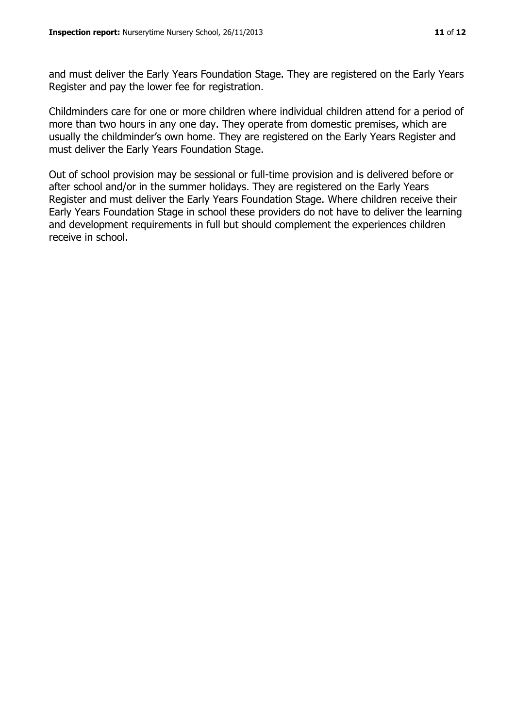and must deliver the Early Years Foundation Stage. They are registered on the Early Years Register and pay the lower fee for registration.

Childminders care for one or more children where individual children attend for a period of more than two hours in any one day. They operate from domestic premises, which are usually the childminder's own home. They are registered on the Early Years Register and must deliver the Early Years Foundation Stage.

Out of school provision may be sessional or full-time provision and is delivered before or after school and/or in the summer holidays. They are registered on the Early Years Register and must deliver the Early Years Foundation Stage. Where children receive their Early Years Foundation Stage in school these providers do not have to deliver the learning and development requirements in full but should complement the experiences children receive in school.